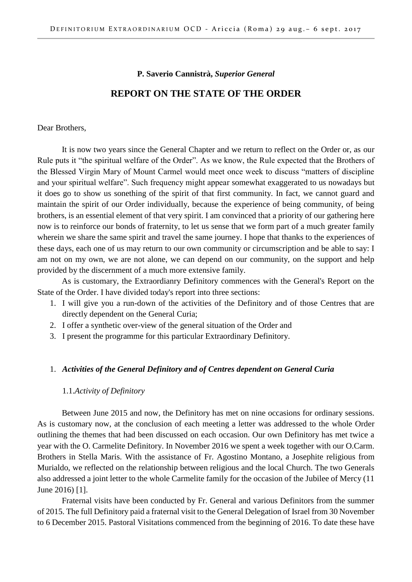#### **P. Saverio Cannistrà,** *Superior General*

#### **REPORT ON THE STATE OF THE ORDER**

Dear Brothers,

It is now two years since the General Chapter and we return to reflect on the Order or, as our Rule puts it "the spiritual welfare of the Order". As we know, the Rule expected that the Brothers of the Blessed Virgin Mary of Mount Carmel would meet once week to discuss "matters of discipline and your spiritual welfare". Such frequency might appear somewhat exaggerated to us nowadays but it does go to show us sonething of the spirit of that first community. In fact, we cannot guard and maintain the spirit of our Order individually, because the experience of being community, of being brothers, is an essential element of that very spirit. I am convinced that a priority of our gathering here now is to reinforce our bonds of fraternity, to let us sense that we form part of a much greater family wherein we share the same spirit and travel the same journey. I hope that thanks to the experiences of these days, each one of us may return to our own community or circumscription and be able to say: I am not on my own, we are not alone, we can depend on our community, on the support and help provided by the discernment of a much more extensive family.

As is customary, the Extraordianry Definitory commences with the General's Report on the State of the Order. I have divided today's report into three sections:

- 1. I will give you a run-down of the activities of the Definitory and of those Centres that are directly dependent on the General Curia;
- 2. I offer a synthetic over-view of the general situation of the Order and
- 3. I present the programme for this particular Extraordinary Definitory.

#### 1. *Activities of the General Definitory and of Centres dependent on General Curia*

#### 1.1.*Activity of Definitory*

Between June 2015 and now, the Definitory has met on nine occasions for ordinary sessions. As is customary now, at the conclusion of each meeting a letter was addressed to the whole Order outlining the themes that had been discussed on each occasion. Our own Definitory has met twice a year with the O. Carmelite Definitory. In November 2016 we spent a week together with our O.Carm. Brothers in Stella Maris. With the assistance of Fr. Agostino Montano, a Josephite religious from Murialdo, we reflected on the relationship between religious and the local Church. The two Generals also addressed a joint letter to the whole Carmelite family for the occasion of the Jubilee of Mercy (11 June 2016) [1].

Fraternal visits have been conducted by Fr. General and various Definitors from the summer of 2015. The full Definitory paid a fraternal visit to the General Delegation of Israel from 30 November to 6 December 2015. Pastoral Visitations commenced from the beginning of 2016. To date these have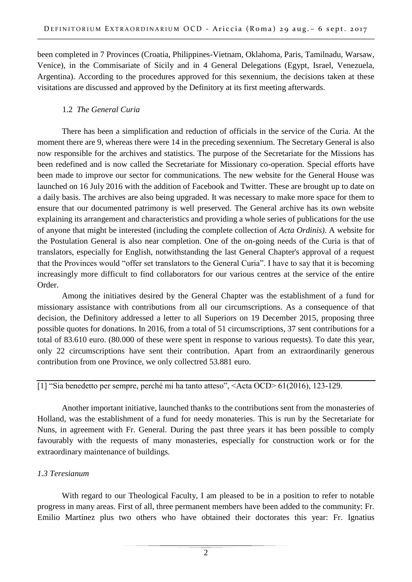been completed in 7 Provinces (Croatia, Philippines-Vietnam, Oklahoma, Paris, Tamilnadu, Warsaw, Venice), in the Commisariate of Sicily and in 4 General Delegations (Egypt, Israel, Venezuela, Argentina). According to the procedures approved for this sexennium, the decisions taken at these visitations are discussed and approved by the Definitory at its first meeting afterwards.

# 1.2 *The General Curia*

There has been a simplification and reduction of officials in the service of the Curia. At the moment there are 9, whereas there were 14 in the preceding sexennium. The Secretary General is also now responsible for the archives and statistics. The purpose of the Secretariate for the Missions has been redefined and is now called the Secretariate for Missionary co-operation. Special efforts have been made to improve our sector for communications. The new website for the General House was launched on 16 July 2016 with the addition of Facebook and Twitter. These are brought up to date on a daily basis. The archives are also being upgraded. It was necessary to make more space for them to ensure that our documented patrimony is well preserved. The General archive has its own website explaining its arrangement and characteristics and providing a whole series of publications for the use of anyone that might be interested (including the complete collection of *Acta Ordinis).* A website for the Postulation General is also near completion. One of the on-going needs of the Curia is that of translators, especially for English, notwithstanding the last General Chapter's approval of a request that the Provinces would "offer set translators to the General Curia". I have to say that it is becoming increasingly more difficult to find collaborators for our various centres at the service of the entire Order.

Among the initiatives desired by the General Chapter was the establishment of a fund for missionary assistance with contributions from all our circumscriptions. As a consequence of that decision, the Definitory addressed a letter to all Superiors on 19 December 2015, proposing three possible quotes for donations. In 2016, from a total of 51 circumscriptions, 37 sent contributions for a total of 83.610 euro. (80.000 of these were spent in response to various requests). To date this year, only 22 circumscriptions have sent their contribution. Apart from an extraordinarily generous contribution from one Province, we only collectred 53.881 euro.

[1] "Sia benedetto per sempre, perché mi ha tanto atteso", <Acta OCD> 61(2016), 123-129.

Another important initiative, launched thanks to the contributions sent from the monasteries of Holland, was the establishment of a fund for needy monateries. This is run by the Secretariate for Nuns, in agreement with Fr. General. During the past three years it has been possible to comply favourably with the requests of many monasteries, especially for construction work or for the extraordinary maintenance of buildings.

# *1.3 Teresianum*

With regard to our Theological Faculty, I am pleased to be in a position to refer to notable progress in many areas. First of all, three permanent members have been added to the community: Fr. Emilio Martínez plus two others who have obtained their doctorates this year: Fr. Ignatius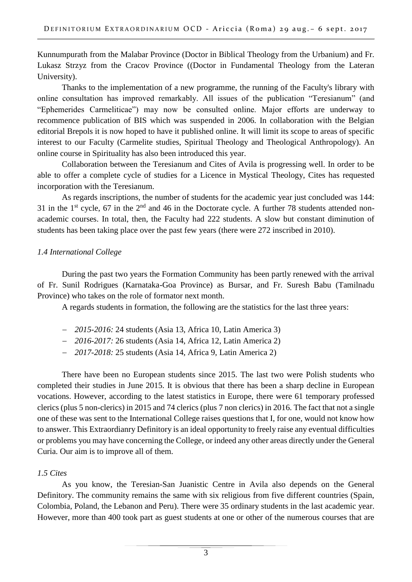Kunnumpurath from the Malabar Province (Doctor in Biblical Theology from the Urbanium) and Fr. Lukasz Strzyz from the Cracov Province ((Doctor in Fundamental Theology from the Lateran University).

Thanks to the implementation of a new programme, the running of the Faculty's library with online consultation has improved remarkably. All issues of the publication "Teresianum" (and "Ephemerides Carmeliticae") may now be consulted online. Major efforts are underway to recommence publication of BIS which was suspended in 2006. In collaboration with the Belgian editorial Brepols it is now hoped to have it published online. It will limit its scope to areas of specific interest to our Faculty (Carmelite studies, Spiritual Theology and Theological Anthropology). An online course in Spirituality has also been introduced this year.

Collaboration between the Teresianum and Cites of Avila is progressing well. In order to be able to offer a complete cycle of studies for a Licence in Mystical Theology, Cites has requested incorporation with the Teresianum.

As regards inscriptions, the number of students for the academic year just concluded was 144: 31 in the 1<sup>st</sup> cycle, 67 in the  $2<sup>nd</sup>$  and 46 in the Doctorate cycle. A further 78 students attended nonacademic courses. In total, then, the Faculty had 222 students. A slow but constant diminution of students has been taking place over the past few years (there were 272 inscribed in 2010).

# *1.4 International College*

During the past two years the Formation Community has been partly renewed with the arrival of Fr. Sunil Rodrigues (Karnataka-Goa Province) as Bursar, and Fr. Suresh Babu (Tamilnadu Province) who takes on the role of formator next month.

A regards students in formation, the following are the statistics for the last three years:

- *2015-2016:* 24 students (Asia 13, Africa 10, Latin America 3)
- *2016-2017:* 26 students (Asia 14, Africa 12, Latin America 2)
- *2017-2018:* 25 students (Asia 14, Africa 9, Latin America 2)

There have been no European students since 2015. The last two were Polish students who completed their studies in June 2015. It is obvious that there has been a sharp decline in European vocations. However, according to the latest statistics in Europe, there were 61 temporary professed clerics (plus 5 non-clerics) in 2015 and 74 clerics (plus 7 non clerics) in 2016. The fact that not a single one of these was sent to the International College raises questions that I, for one, would not know how to answer. This Extraordianry Definitory is an ideal opportunity to freely raise any eventual difficulties or problems you may have concerning the College, or indeed any other areas directly under the General Curia. Our aim is to improve all of them.

# *1.5 Cites*

As you know, the Teresian-San Juanistic Centre in Avila also depends on the General Definitory. The community remains the same with six religious from five different countries (Spain, Colombia, Poland, the Lebanon and Peru). There were 35 ordinary students in the last academic year. However, more than 400 took part as guest students at one or other of the numerous courses that are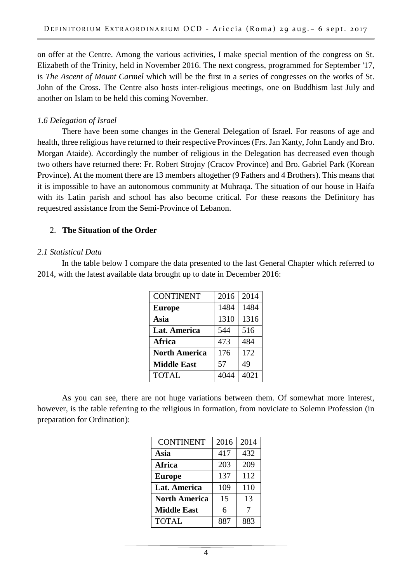on offer at the Centre. Among the various activities, I make special mention of the congress on St. Elizabeth of the Trinity, held in November 2016. The next congress, programmed for September '17, is *The Ascent of Mount Carmel* which will be the first in a series of congresses on the works of St. John of the Cross. The Centre also hosts inter-religious meetings, one on Buddhism last July and another on Islam to be held this coming November.

### *1.6 Delegation of Israel*

There have been some changes in the General Delegation of Israel. For reasons of age and health, three religious have returned to their respective Provinces (Frs. Jan Kanty, John Landy and Bro. Morgan Ataide). Accordingly the number of religious in the Delegation has decreased even though two others have returned there: Fr. Robert Strojny (Cracov Province) and Bro. Gabriel Park (Korean Province). At the moment there are 13 members altogether (9 Fathers and 4 Brothers). This means that it is impossible to have an autonomous community at Muhraqa. The situation of our house in Haifa with its Latin parish and school has also become critical. For these reasons the Definitory has requestred assistance from the Semi-Province of Lebanon.

### 2. **The Situation of the Order**

### *2.1 Statistical Data*

In the table below I compare the data presented to the last General Chapter which referred to 2014, with the latest available data brought up to date in December 2016:

| <b>CONTINENT</b>     | 2016 | 2014 |
|----------------------|------|------|
| <b>Europe</b>        | 1484 | 1484 |
| Asia                 | 1310 | 1316 |
| Lat. America         | 544  | 516  |
| Africa               | 473  | 484  |
| <b>North America</b> | 176  | 172  |
| <b>Middle East</b>   | 57   | 49   |
| <b>TOTAL</b>         | 4044 | 4021 |

As you can see, there are not huge variations between them. Of somewhat more interest, however, is the table referring to the religious in formation, from noviciate to Solemn Profession (in preparation for Ordination):

| <b>CONTINENT</b>     | 2016 | 2014 |
|----------------------|------|------|
| Asia                 | 417  | 432  |
| <b>Africa</b>        | 203  | 209  |
| <b>Europe</b>        | 137  | 112  |
| <b>Lat. America</b>  | 109  | 110  |
| <b>North America</b> | 15   | 13   |
| <b>Middle East</b>   | 6    | 7    |
| <b>TOTAL</b>         | 887  | 883  |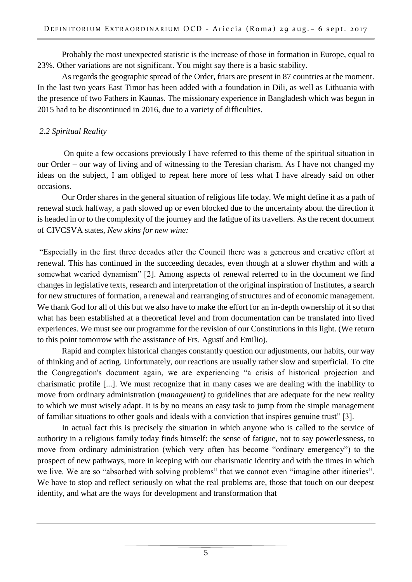Probably the most unexpected statistic is the increase of those in formation in Europe, equal to 23%. Other variations are not significant. You might say there is a basic stability.

As regards the geographic spread of the Order, friars are present in 87 countries at the moment. In the last two years East Timor has been added with a foundation in Dili, as well as Lithuania with the presence of two Fathers in Kaunas. The missionary experience in Bangladesh which was begun in 2015 had to be discontinued in 2016, due to a variety of difficulties.

# *2.2 Spiritual Reality*

On quite a few occasions previously I have referred to this theme of the spiritual situation in our Order – our way of living and of witnessing to the Teresian charism. As I have not changed my ideas on the subject, I am obliged to repeat here more of less what I have already said on other occasions.

Our Order shares in the general situation of religious life today. We might define it as a path of renewal stuck halfway, a path slowed up or even blocked due to the uncertainty about the direction it is headed in or to the complexity of the journey and the fatigue of its travellers. As the recent document of CIVCSVA states, *New skins for new wine:* 

"Especially in the first three decades after the Council there was a generous and creative effort at renewal. This has continued in the succeeding decades, even though at a slower rhythm and with a somewhat wearied dynamism" [2]. Among aspects of renewal referred to in the document we find changes in legislative texts, research and interpretation of the original inspiration of Institutes, a search for new structures of formation, a renewal and rearranging of structures and of economic management. We thank God for all of this but we also have to make the effort for an in-depth ownership of it so that what has been established at a theoretical level and from documentation can be translated into lived experiences. We must see our programme for the revision of our Constitutions in this light. (We return to this point tomorrow with the assistance of Frs. Agustí and Emilio).

Rapid and complex historical changes constantly question our adjustments, our habits, our way of thinking and of acting. Unfortunately, our reactions are usually rather slow and superficial. To cite the Congregation's document again, we are experiencing "a crisis of historical projection and charismatic profile [...]. We must recognize that in many cases we are dealing with the inability to move from ordinary administration (*management)* to guidelines that are adequate for the new reality to which we must wisely adapt. It is by no means an easy task to jump from the simple management of familiar situations to other goals and ideals with a conviction that inspires genuine trust" [3].

In actual fact this is precisely the situation in which anyone who is called to the service of authority in a religious family today finds himself: the sense of fatigue, not to say powerlessness, to move from ordinary administration (which very often has become "ordinary emergency") to the prospect of new pathways, more in keeping with our charismatic identity and with the times in which we live. We are so "absorbed with solving problems" that we cannot even "imagine other itineries". We have to stop and reflect seriously on what the real problems are, those that touch on our deepest identity, and what are the ways for development and transformation that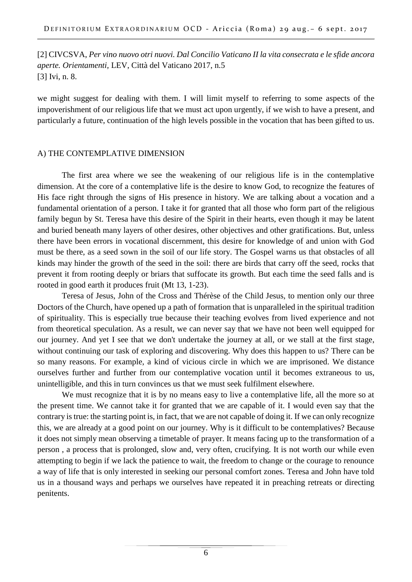[2] CIVCSVA, *Per vino nuovo otri nuovi. Dal Concilio Vaticano II la vita consecrata e le sfide ancora aperte. Orientamenti,* LEV, Città del Vaticano 2017, n.5 [3] Ivi, n. 8.

we might suggest for dealing with them. I will limit myself to referring to some aspects of the impoverishment of our religious life that we must act upon urgently, if we wish to have a present, and particularly a future, continuation of the high levels possible in the vocation that has been gifted to us.

### A) THE CONTEMPLATIVE DIMENSION

The first area where we see the weakening of our religious life is in the contemplative dimension. At the core of a contemplative life is the desire to know God, to recognize the features of His face right through the signs of His presence in history. We are talking about a vocation and a fundamental orientation of a person. I take it for granted that all those who form part of the religious family begun by St. Teresa have this desire of the Spirit in their hearts, even though it may be latent and buried beneath many layers of other desires, other objectives and other gratifications. But, unless there have been errors in vocational discernment, this desire for knowledge of and union with God must be there, as a seed sown in the soil of our life story. The Gospel warns us that obstacles of all kinds may hinder the growth of the seed in the soil: there are birds that carry off the seed, rocks that prevent it from rooting deeply or briars that suffocate its growth. But each time the seed falls and is rooted in good earth it produces fruit (Mt 13, 1-23).

Teresa of Jesus, John of the Cross and Thérèse of the Child Jesus, to mention only our three Doctors of the Church, have opened up a path of formation that is unparalleled in the spiritual tradition of spirituality. This is especially true because their teaching evolves from lived experience and not from theoretical speculation. As a result, we can never say that we have not been well equipped for our journey. And yet I see that we don't undertake the journey at all, or we stall at the first stage, without continuing our task of exploring and discovering. Why does this happen to us? There can be so many reasons. For example, a kind of vicious circle in which we are imprisoned. We distance ourselves further and further from our contemplative vocation until it becomes extraneous to us, unintelligible, and this in turn convinces us that we must seek fulfilment elsewhere.

We must recognize that it is by no means easy to live a contemplative life, all the more so at the present time. We cannot take it for granted that we are capable of it. I would even say that the contrary is true: the starting point is, in fact, that we are not capable of doing it. If we can only recognize this, we are already at a good point on our journey. Why is it difficult to be contemplatives? Because it does not simply mean observing a timetable of prayer. It means facing up to the transformation of a person , a process that is prolonged, slow and, very often, crucifying. It is not worth our while even attempting to begin if we lack the patience to wait, the freedom to change or the courage to renounce a way of life that is only interested in seeking our personal comfort zones. Teresa and John have told us in a thousand ways and perhaps we ourselves have repeated it in preaching retreats or directing penitents.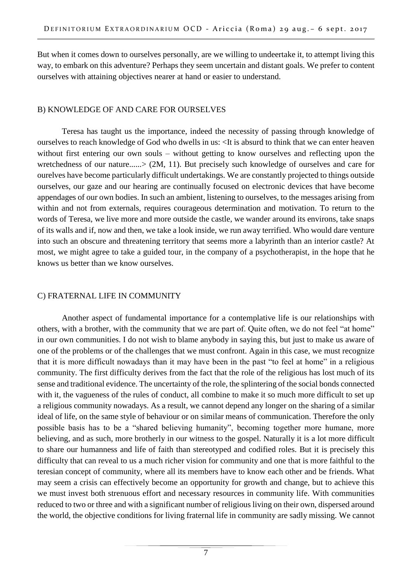But when it comes down to ourselves personally, are we willing to undeertake it, to attempt living this way, to embark on this adventure? Perhaps they seem uncertain and distant goals. We prefer to content ourselves with attaining objectives nearer at hand or easier to understand.

# B) KNOWLEDGE OF AND CARE FOR OURSELVES

Teresa has taught us the importance, indeed the necessity of passing through knowledge of ourselves to reach knowledge of God who dwells in us: <It is absurd to think that we can enter heaven without first entering our own souls – without getting to know ourselves and reflecting upon the wretchedness of our nature......> (2M, 11). But precisely such knowledge of ourselves and care for ourelves have become particularly difficult undertakings. We are constantly projected to things outside ourselves, our gaze and our hearing are continually focused on electronic devices that have become appendages of our own bodies. In such an ambient, listening to ourselves, to the messages arising from within and not from externals, requires courageous determination and motivation. To return to the words of Teresa, we live more and more outside the castle, we wander around its environs, take snaps of its walls and if, now and then, we take a look inside, we run away terrified. Who would dare venture into such an obscure and threatening territory that seems more a labyrinth than an interior castle? At most, we might agree to take a guided tour, in the company of a psychotherapist, in the hope that he knows us better than we know ourselves.

# C) FRATERNAL LIFE IN COMMUNITY

Another aspect of fundamental importance for a contemplative life is our relationships with others, with a brother, with the community that we are part of. Quite often, we do not feel "at home" in our own communities. I do not wish to blame anybody in saying this, but just to make us aware of one of the problems or of the challenges that we must confront. Again in this case, we must recognize that it is more difficult nowadays than it may have been in the past "to feel at home" in a religious community. The first difficulty derives from the fact that the role of the religious has lost much of its sense and traditional evidence. The uncertainty of the role, the splintering of the social bonds connected with it, the vagueness of the rules of conduct, all combine to make it so much more difficult to set up a religious community nowadays. As a result, we cannot depend any longer on the sharing of a similar ideal of life, on the same style of behaviour or on similar means of communication. Therefore the only possible basis has to be a "shared believing humanity", becoming together more humane, more believing, and as such, more brotherly in our witness to the gospel. Naturally it is a lot more difficult to share our humanness and life of faith than stereotyped and codified roles. But it is precisely this difficulty that can reveal to us a much richer vision for community and one that is more faithful to the teresian concept of community, where all its members have to know each other and be friends. What may seem a crisis can effectively become an opportunity for growth and change, but to achieve this we must invest both strenuous effort and necessary resources in community life. With communities reduced to two or three and with a significant number of religious living on their own, dispersed around the world, the objective conditions for living fraternal life in community are sadly missing. We cannot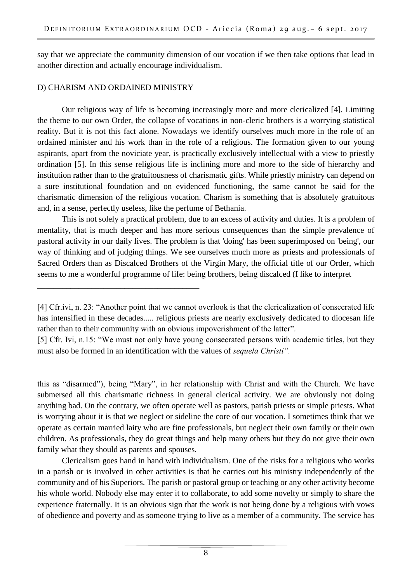say that we appreciate the community dimension of our vocation if we then take options that lead in another direction and actually encourage individualism.

## D) CHARISM AND ORDAINED MINISTRY

\_\_\_\_\_\_\_\_\_\_\_\_\_\_\_\_\_\_\_\_\_\_\_\_\_\_\_\_\_\_\_\_\_\_\_\_\_\_\_

Our religious way of life is becoming increasingly more and more clericalized [4]. Limiting the theme to our own Order, the collapse of vocations in non-cleric brothers is a worrying statistical reality. But it is not this fact alone. Nowadays we identify ourselves much more in the role of an ordained minister and his work than in the role of a religious. The formation given to our young aspirants, apart from the noviciate year, is practically exclusively intellectual with a view to priestly ordination [5]. In this sense religious life is inclining more and more to the side of hierarchy and institution rather than to the gratuitousness of charismatic gifts. While priestly ministry can depend on a sure institutional foundation and on evidenced functioning, the same cannot be said for the charismatic dimension of the religious vocation. Charism is something that is absolutely gratuitous and, in a sense, perfectly useless, like the perfume of Bethania.

This is not solely a practical problem, due to an excess of activity and duties. It is a problem of mentality, that is much deeper and has more serious consequences than the simple prevalence of pastoral activity in our daily lives. The problem is that 'doing' has been superimposed on 'being', our way of thinking and of judging things. We see ourselves much more as priests and professionals of Sacred Orders than as Discalced Brothers of the Virgin Mary, the official title of our Order, which seems to me a wonderful programme of life: being brothers, being discalced (I like to interpret

this as "disarmed"), being "Mary", in her relationship with Christ and with the Church. We have submersed all this charismatic richness in general clerical activity. We are obviously not doing anything bad. On the contrary, we often operate well as pastors, parish priests or simple priests. What is worrying about it is that we neglect or sideline the core of our vocation. I sometimes think that we operate as certain married laity who are fine professionals, but neglect their own family or their own children. As professionals, they do great things and help many others but they do not give their own family what they should as parents and spouses.

Clericalism goes hand in hand with individualism. One of the risks for a religious who works in a parish or is involved in other activities is that he carries out his ministry independently of the community and of his Superiors. The parish or pastoral group or teaching or any other activity become his whole world. Nobody else may enter it to collaborate, to add some novelty or simply to share the experience fraternally. It is an obvious sign that the work is not being done by a religious with vows of obedience and poverty and as someone trying to live as a member of a community. The service has

<sup>[4]</sup> Cfr.ivi, n. 23: "Another point that we cannot overlook is that the clericalization of consecrated life has intensified in these decades..... religious priests are nearly exclusively dedicated to diocesan life rather than to their community with an obvious impoverishment of the latter".

<sup>[5]</sup> Cfr. Ivi, n.15: "We must not only have young consecrated persons with academic titles, but they must also be formed in an identification with the values of *sequela Christi".*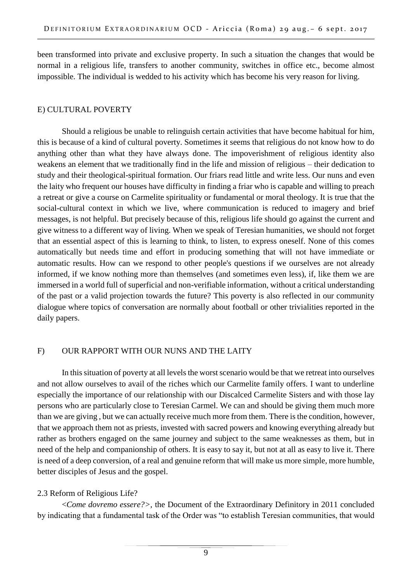been transformed into private and exclusive property. In such a situation the changes that would be normal in a religious life, transfers to another community, switches in office etc., become almost impossible. The individual is wedded to his activity which has become his very reason for living.

# E) CULTURAL POVERTY

Should a religious be unable to relinguish certain activities that have become habitual for him, this is because of a kind of cultural poverty. Sometimes it seems that religious do not know how to do anything other than what they have always done. The impoverishment of religious identity also weakens an element that we traditionally find in the life and mission of religious – their dedication to study and their theological-spiritual formation. Our friars read little and write less. Our nuns and even the laity who frequent our houses have difficulty in finding a friar who is capable and willing to preach a retreat or give a course on Carmelite spirituality or fundamental or moral theology. It is true that the social-cultural context in which we live, where communication is reduced to imagery and brief messages, is not helpful. But precisely because of this, religious life should go against the current and give witness to a different way of living. When we speak of Teresian humanities, we should not forget that an essential aspect of this is learning to think, to listen, to express oneself. None of this comes automatically but needs time and effort in producing something that will not have immediate or automatic results. How can we respond to other people's questions if we ourselves are not already informed, if we know nothing more than themselves (and sometimes even less), if, like them we are immersed in a world full of superficial and non-verifiable information, without a critical understanding of the past or a valid projection towards the future? This poverty is also reflected in our community dialogue where topics of conversation are normally about football or other trivialities reported in the daily papers.

# F) OUR RAPPORT WITH OUR NUNS AND THE LAITY

In this situation of poverty at all levels the worst scenario would be that we retreat into ourselves and not allow ourselves to avail of the riches which our Carmelite family offers. I want to underline especially the importance of our relationship with our Discalced Carmelite Sisters and with those lay persons who are particularly close to Teresian Carmel. We can and should be giving them much more than we are giving , but we can actually receive much more from them. There is the condition, however, that we approach them not as priests, invested with sacred powers and knowing everything already but rather as brothers engaged on the same journey and subject to the same weaknesses as them, but in need of the help and companionship of others. It is easy to say it, but not at all as easy to live it. There is need of a deep conversion, of a real and genuine reform that will make us more simple, more humble, better disciples of Jesus and the gospel.

# 2.3 Reform of Religious Life?

<*Come dovremo essere?>,* the Document of the Extraordinary Definitory in 2011 concluded by indicating that a fundamental task of the Order was "to establish Teresian communities, that would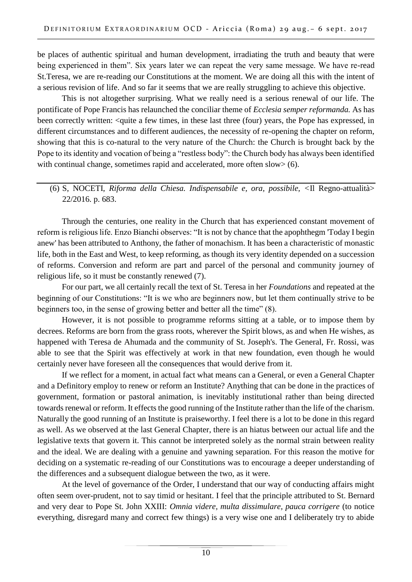be places of authentic spiritual and human development, irradiating the truth and beauty that were being experienced in them". Six years later we can repeat the very same message. We have re-read St.Teresa, we are re-reading our Constitutions at the moment. We are doing all this with the intent of a serious revision of life. And so far it seems that we are really struggling to achieve this objective.

This is not altogether surprising. What we really need is a serious renewal of our life. The pontificate of Pope Francis has relaunched the conciliar theme of *Ecclesia semper reformanda.* As has been correctly written: <quite a few times, in these last three (four) years, the Pope has expressed, in different circumstances and to different audiences, the necessity of re-opening the chapter on reform, showing that this is co-natural to the very nature of the Church: the Church is brought back by the Pope to its identity and vocation of being a "restless body": the Church body has always been identified with continual change, sometimes rapid and accelerated, more often slow> (6).

# (6) S, NOCETI, *Riforma della Chiesa. Indispensabile e, ora, possibile, <*Il Regno-attualità> 22/2016. p. 683.

Through the centuries, one reality in the Church that has experienced constant movement of reform is religious life. Enzo Bianchi observes: "It is not by chance that the apophthegm 'Today I begin anew' has been attributed to Anthony, the father of monachism. It has been a characteristic of monastic life, both in the East and West, to keep reforming, as though its very identity depended on a succession of reforms. Conversion and reform are part and parcel of the personal and community journey of religious life, so it must be constantly renewed (7).

For our part, we all certainly recall the text of St. Teresa in her *Foundations* and repeated at the beginning of our Constitutions: "It is we who are beginners now, but let them continually strive to be beginners too, in the sense of growing better and better all the time" (8).

However, it is not possible to programme reforms sitting at a table, or to impose them by decrees. Reforms are born from the grass roots, wherever the Spirit blows, as and when He wishes, as happened with Teresa de Ahumada and the community of St. Joseph's. The General, Fr. Rossi, was able to see that the Spirit was effectively at work in that new foundation, even though he would certainly never have foreseen all the consequences that would derive from it.

If we reflect for a moment, in actual fact what means can a General, or even a General Chapter and a Definitory employ to renew or reform an Institute? Anything that can be done in the practices of government, formation or pastoral animation, is inevitably institutional rather than being directed towards renewal or reform. It effects the good running of the Institute rather than the life of the charism. Naturally the good running of an Institute is praiseworthy. I feel there is a lot to be done in this regard as well. As we observed at the last General Chapter, there is an hiatus between our actual life and the legislative texts that govern it. This cannot be interpreted solely as the normal strain between reality and the ideal. We are dealing with a genuine and yawning separation. For this reason the motive for deciding on a systematic re-reading of our Constitutions was to encourage a deeper understanding of the differences and a subsequent dialogue between the two, as it were.

At the level of governance of the Order, I understand that our way of conducting affairs might often seem over-prudent, not to say timid or hesitant. I feel that the principle attributed to St. Bernard and very dear to Pope St. John XXIII: *Omnia videre, multa dissimulare, pauca corrigere* (to notice everything, disregard many and correct few things) is a very wise one and I deliberately try to abide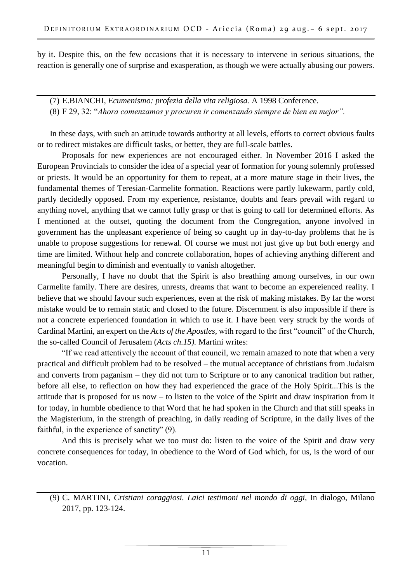by it. Despite this, on the few occasions that it is necessary to intervene in serious situations, the reaction is generally one of surprise and exasperation, as though we were actually abusing our powers.

(7) E.BIANCHI, *Ecumenismo: profezia della vita religiosa.* A 1998 Conference. (8) F 29, 32: "*Ahora comenzamos y procuren ir comenzando siempre de bien en mejor".*

In these days, with such an attitude towards authority at all levels, efforts to correct obvious faults or to redirect mistakes are difficult tasks, or better, they are full-scale battles.

Proposals for new experiences are not encouraged either. In November 2016 I asked the European Provincials to consider the idea of a special year of formation for young solemnly professed or priests. It would be an opportunity for them to repeat, at a more mature stage in their lives, the fundamental themes of Teresian-Carmelite formation. Reactions were partly lukewarm, partly cold, partly decidedly opposed. From my experience, resistance, doubts and fears prevail with regard to anything novel, anything that we cannot fully grasp or that is going to call for determined efforts. As I mentioned at the outset, quoting the document from the Congregation, anyone involved in government has the unpleasant experience of being so caught up in day-to-day problems that he is unable to propose suggestions for renewal. Of course we must not just give up but both energy and time are limited. Without help and concrete collaboration, hopes of achieving anything different and meaningful begin to diminish and eventually to vanish altogether.

Personally, I have no doubt that the Spirit is also breathing among ourselves, in our own Carmelite family. There are desires, unrests, dreams that want to become an expereienced reality. I believe that we should favour such experiences, even at the risk of making mistakes. By far the worst mistake would be to remain static and closed to the future. Discernment is also impossible if there is not a concrete experienced foundation in which to use it. I have been very struck by the words of Cardinal Martini, an expert on the *Acts of the Apostles,* with regard to the first "council" of the Church, the so-called Council of Jerusalem (*Acts ch.15).* Martini writes:

"If we read attentively the account of that council, we remain amazed to note that when a very practical and difficult problem had to be resolved – the mutual acceptance of christians from Judaism and converts from paganism – they did not turn to Scripture or to any canonical tradition but rather, before all else, to reflection on how they had experienced the grace of the Holy Spirit...This is the attitude that is proposed for us now – to listen to the voice of the Spirit and draw inspiration from it for today, in humble obedience to that Word that he had spoken in the Church and that still speaks in the Magisterium, in the strength of preaching, in daily reading of Scripture, in the daily lives of the faithful, in the experience of sanctity" (9).

And this is precisely what we too must do: listen to the voice of the Spirit and draw very concrete consequences for today, in obedience to the Word of God which, for us, is the word of our vocation.

<sup>(9)</sup> C. MARTINI, *Cristiani coraggiosi. Laici testimoni nel mondo di oggi,* In dialogo, Milano 2017, pp. 123-124.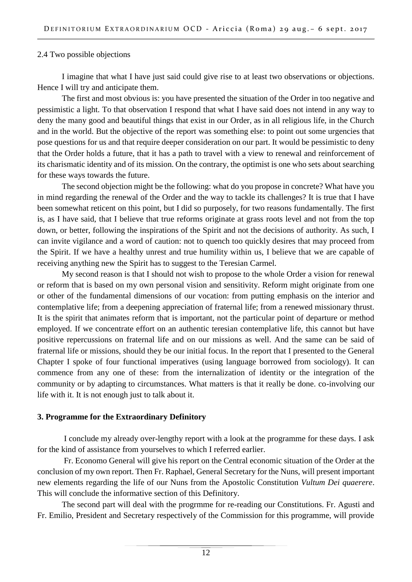#### 2.4 Two possible objections

I imagine that what I have just said could give rise to at least two observations or objections. Hence I will try and anticipate them.

The first and most obvious is: you have presented the situation of the Order in too negative and pessimistic a light. To that observation I respond that what I have said does not intend in any way to deny the many good and beautiful things that exist in our Order, as in all religious life, in the Church and in the world. But the objective of the report was something else: to point out some urgencies that pose questions for us and that require deeper consideration on our part. It would be pessimistic to deny that the Order holds a future, that it has a path to travel with a view to renewal and reinforcement of its charismatic identity and of its mission. On the contrary, the optimist is one who sets about searching for these ways towards the future.

The second objection might be the following: what do you propose in concrete? What have you in mind regarding the renewal of the Order and the way to tackle its challenges? It is true that I have been somewhat reticent on this point, but I did so purposely, for two reasons fundamentally. The first is, as I have said, that I believe that true reforms originate at grass roots level and not from the top down, or better, following the inspirations of the Spirit and not the decisions of authority. As such, I can invite vigilance and a word of caution: not to quench too quickly desires that may proceed from the Spirit. If we have a healthy unrest and true humility within us, I believe that we are capable of receiving anything new the Spirit has to suggest to the Teresian Carmel.

My second reason is that I should not wish to propose to the whole Order a vision for renewal or reform that is based on my own personal vision and sensitivity. Reform might originate from one or other of the fundamental dimensions of our vocation: from putting emphasis on the interior and contemplative life; from a deepening appreciation of fraternal life; from a renewed missionary thrust. It is the spirit that animates reform that is important, not the particular point of departure or method employed. If we concentrate effort on an authentic teresian contemplative life, this cannot but have positive repercussions on fraternal life and on our missions as well. And the same can be said of fraternal life or missions, should they be our initial focus. In the report that I presented to the General Chapter I spoke of four functional imperatives (using language borrowed from sociology). It can commence from any one of these: from the internalization of identity or the integration of the community or by adapting to circumstances. What matters is that it really be done. co-involving our life with it. It is not enough just to talk about it.

### **3. Programme for the Extraordinary Definitory**

I conclude my already over-lengthy report with a look at the programme for these days. I ask for the kind of assistance from yourselves to which I referred earlier.

Fr. Economo General will give his report on the Central economic situation of the Order at the conclusion of my own report. Then Fr. Raphael, General Secretary for the Nuns, will present important new elements regarding the life of our Nuns from the Apostolic Constitution *Vultum Dei quaerere*. This will conclude the informative section of this Definitory.

The second part will deal with the progrmme for re-reading our Constitutions. Fr. Agusti and Fr. Emilio, President and Secretary respectively of the Commission for this programme, will provide